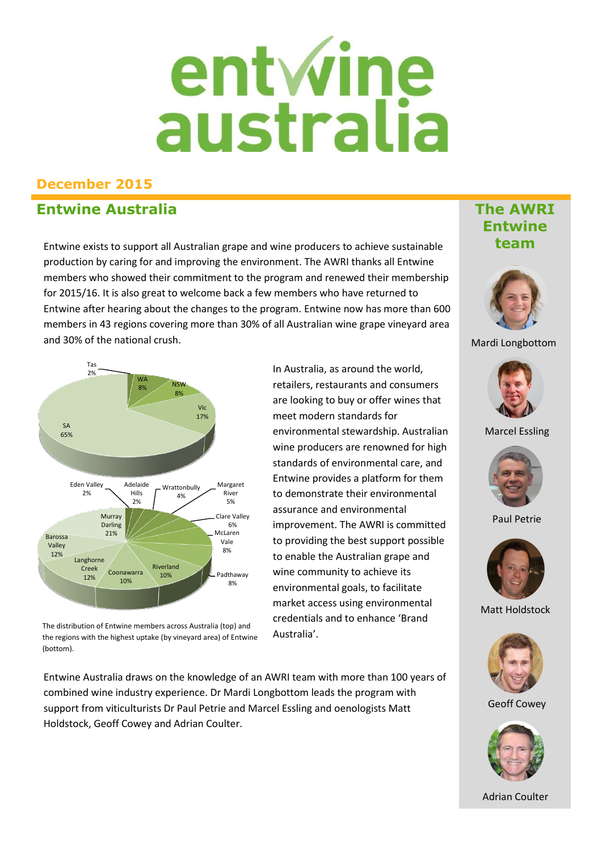# entwine<br>australia

## **December 2015**

## **Entwine Australia**

Entwine exists to support all Australian grape and wine producers to achieve sustainable production by caring for and improving the environment. The AWRI thanks all Entwine members who showed their commitment to the program and renewed their membership for 2015/16. It is also great to welcome back a few members who have returned to Entwine after hearing about the changes to the program. Entwine now has more than 600 members in 43 regions covering more than 30% of all Australian wine grape vineyard area and 30% of the national crush.



The distribution of Entwine members across Australia (top) and the regions with the highest uptake (by vineyard area) of Entwine (bottom).

Entwine Australia draws on the knowledge of an AWRI team with more than 100 years of combined wine industry experience. Dr Mardi Longbottom leads the program with support from viticulturists Dr Paul Petrie and Marcel Essling and oenologists Matt Holdstock, Geoff Cowey and Adrian Coulter.

#### In Australia, as around the world, retailers, restaurants and consumers are looking to buy or offer wines that meet modern standards for environmental stewardship. Australian wine producers are renowned for high standards of environmental care, and Entwine provides a platform for them to demonstrate their environmental assurance and environmental improvement. The AWRI is committed to providing the best support possible to enable the Australian grape and wine community to achieve its environmental goals, to facilitate market access using environmental credentials and to enhance 'Brand Australia'.

## **The AWRI Entwine team**



#### Mardi Longbottom



Marcel Essling



Paul Petrie



Matt Holdstock



Geoff Cowey



Adrian Coulter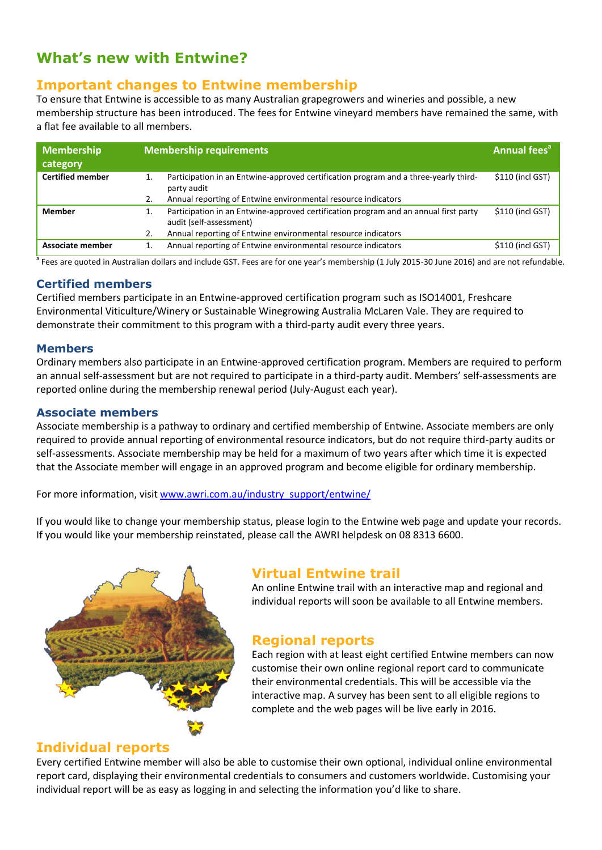# **What's new with Entwine?**

## **Important changes to Entwine membership**

To ensure that Entwine is accessible to as many Australian grapegrowers and wineries and possible, a new membership structure has been introduced. The fees for Entwine vineyard members have remained the same, with a flat fee available to all members.

| <b>Membership</b><br>category | <b>Membership requirements</b>                                                                                  | <b>Annual fees<sup>a</sup></b> |
|-------------------------------|-----------------------------------------------------------------------------------------------------------------|--------------------------------|
| <b>Certified member</b>       | Participation in an Entwine-approved certification program and a three-yearly third-<br>party audit             | \$110 (incl GST)               |
|                               | Annual reporting of Entwine environmental resource indicators<br>2.                                             |                                |
| <b>Member</b>                 | Participation in an Entwine-approved certification program and an annual first party<br>audit (self-assessment) | \$110 (incl GST)               |
|                               | Annual reporting of Entwine environmental resource indicators<br>2.                                             |                                |
| Associate member              | Annual reporting of Entwine environmental resource indicators<br>1.                                             | \$110 (incl GST)               |

<sup>a</sup> Fees are quoted in Australian dollars and include GST. Fees are for one year's membership (1 July 2015-30 June 2016) and are not refundable.

#### **Certified members**

Certified members participate in an Entwine-approved certification program such as ISO14001, Freshcare Environmental Viticulture/Winery or Sustainable Winegrowing Australia McLaren Vale. They are required to demonstrate their commitment to this program with a third-party audit every three years.

#### **Members**

Ordinary members also participate in an Entwine-approved certification program. Members are required to perform an annual self-assessment but are not required to participate in a third-party audit. Members' self-assessments are reported online during the membership renewal period (July-August each year).

#### **Associate members**

Associate membership is a pathway to ordinary and certified membership of Entwine. Associate members are only required to provide annual reporting of environmental resource indicators, but do not require third-party audits or self-assessments. Associate membership may be held for a maximum of two years after which time it is expected that the Associate member will engage in an approved program and become eligible for ordinary membership.

For more information, visit [www.awri.com.au/industry\\_support/entwine/](http://www.awri.com.au/industry_support/entwine/)

If you would like to change your membership status, please login to the Entwine web page and update your records. If you would like your membership reinstated, please call the AWRI helpdesk on 08 8313 6600.



## **Virtual Entwine trail**

An online Entwine trail with an interactive map and regional and individual reports will soon be available to all Entwine members.

#### **Regional reports**

Each region with at least eight certified Entwine members can now customise their own online regional report card to communicate their environmental credentials. This will be accessible via the interactive map. A survey has been sent to all eligible regions to complete and the web pages will be live early in 2016.

#### **Individual reports**

Every certified Entwine member will also be able to customise their own optional, individual online environmental report card, displaying their environmental credentials to consumers and customers worldwide. Customising your individual report will be as easy as logging in and selecting the information you'd like to share.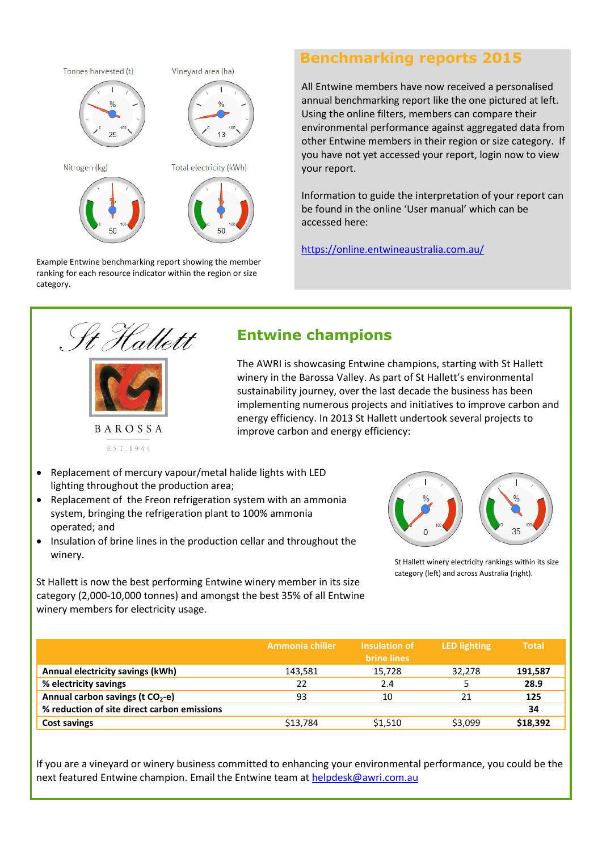

Example Entwine benchmarking report showing the member ranking for each resource indicator within the region or size category.

#### **Benchmarking reports 2015**

All Entwine members have now received a personalised annual benchmarking report like the one pictured at left. Using the online filters, members can compare their environmental performance against aggregated data from other Entwine members in their region or size category. If you have not yet accessed your report, login now to view your report.

Information to guide the interpretation of your report can be found in the online 'User manual' which can be accessed here:

<https://online.entwineaustralia.com.au/>

![](_page_2_Picture_6.jpeg)

EST. 1944

# **Entwine champions**

The AWRI is showcasing Entwine champions, starting with St Hallett winery in the Barossa Valley. As part of St Hallett's environmental sustainability journey, over the last decade the business has been implementing numerous projects and initiatives to improve carbon and energy efficiency. In 2013 St Hallett undertook several projects to improve carbon and energy efficiency:

- Replacement of mercury vapour/metal halide lights with LED lighting throughout the production area;
- Replacement of the Freon refrigeration system with an ammonia system, bringing the refrigeration plant to 100% ammonia operated; and
- Insulation of brine lines in the production cellar and throughout the winery.

St Hallett is now the best performing Entwine winery member in its size category (2,000-10,000 tonnes) and amongst the best 35% of all Entwine winery members for electricity usage.

![](_page_2_Figure_14.jpeg)

St Hallett winery electricity rankings within its size category (left) and across Australia (right).

|                                              | Ammonia chiller | Insulation of<br><b>brine lines</b> | <b>LED</b> lighting | <b>Total</b> |
|----------------------------------------------|-----------------|-------------------------------------|---------------------|--------------|
| Annual electricity savings (kWh)             | 143,581         | 15,728                              | 32,278              | 191,587      |
| % electricity savings                        | 22              | 2.4                                 |                     | 28.9         |
| Annual carbon savings (t CO <sub>2</sub> -e) | 93              | 10                                  | 21                  | 125          |
| % reduction of site direct carbon emissions  |                 |                                     |                     | 34           |
| <b>Cost savings</b>                          | \$13,784        | \$1,510                             | \$3,099             | \$18,392     |

If you are a vineyard or winery business committed to enhancing your environmental performance, you could be the next featured Entwine champion. Email the Entwine team at [helpdesk@awri.com.au](mailto:helpdesk@awri.com.au)